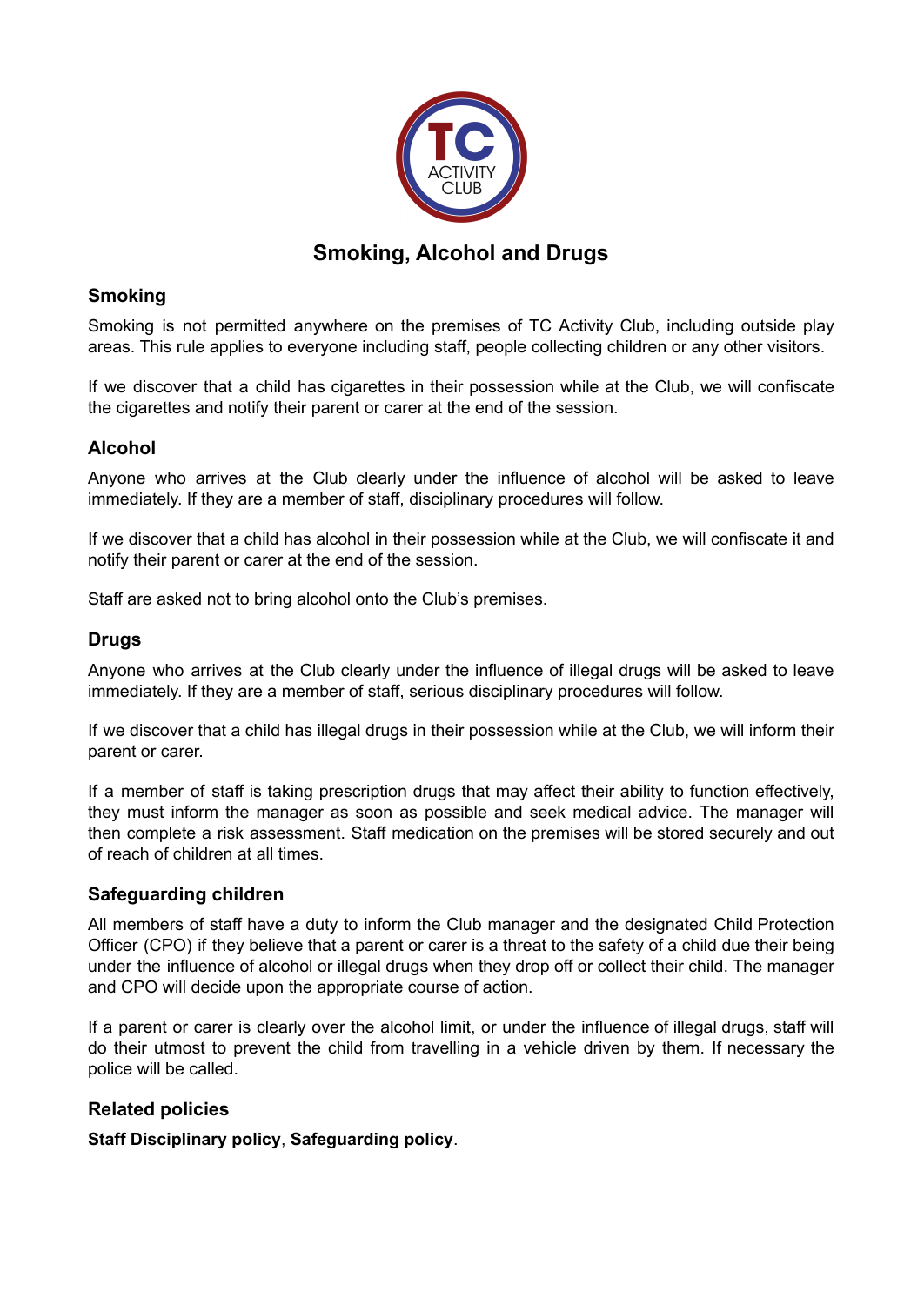

# **Smoking, Alcohol and Drugs**

## **Smoking**

Smoking is not permitted anywhere on the premises of TC Activity Club, including outside play areas. This rule applies to everyone including staff, people collecting children or any other visitors.

If we discover that a child has cigarettes in their possession while at the Club, we will confiscate the cigarettes and notify their parent or carer at the end of the session.

## **Alcohol**

Anyone who arrives at the Club clearly under the influence of alcohol will be asked to leave immediately. If they are a member of staff, disciplinary procedures will follow.

If we discover that a child has alcohol in their possession while at the Club, we will confiscate it and notify their parent or carer at the end of the session.

Staff are asked not to bring alcohol onto the Club's premises.

## **Drugs**

Anyone who arrives at the Club clearly under the influence of illegal drugs will be asked to leave immediately. If they are a member of staff, serious disciplinary procedures will follow.

If we discover that a child has illegal drugs in their possession while at the Club, we will inform their parent or carer.

If a member of staff is taking prescription drugs that may affect their ability to function effectively, they must inform the manager as soon as possible and seek medical advice. The manager will then complete a risk assessment. Staff medication on the premises will be stored securely and out of reach of children at all times.

#### **Safeguarding children**

All members of staff have a duty to inform the Club manager and the designated Child Protection Officer (CPO) if they believe that a parent or carer is a threat to the safety of a child due their being under the influence of alcohol or illegal drugs when they drop off or collect their child. The manager and CPO will decide upon the appropriate course of action.

If a parent or carer is clearly over the alcohol limit, or under the influence of illegal drugs, staff will do their utmost to prevent the child from travelling in a vehicle driven by them. If necessary the police will be called.

#### **Related policies**

**Staff Disciplinary policy**, **Safeguarding policy**.